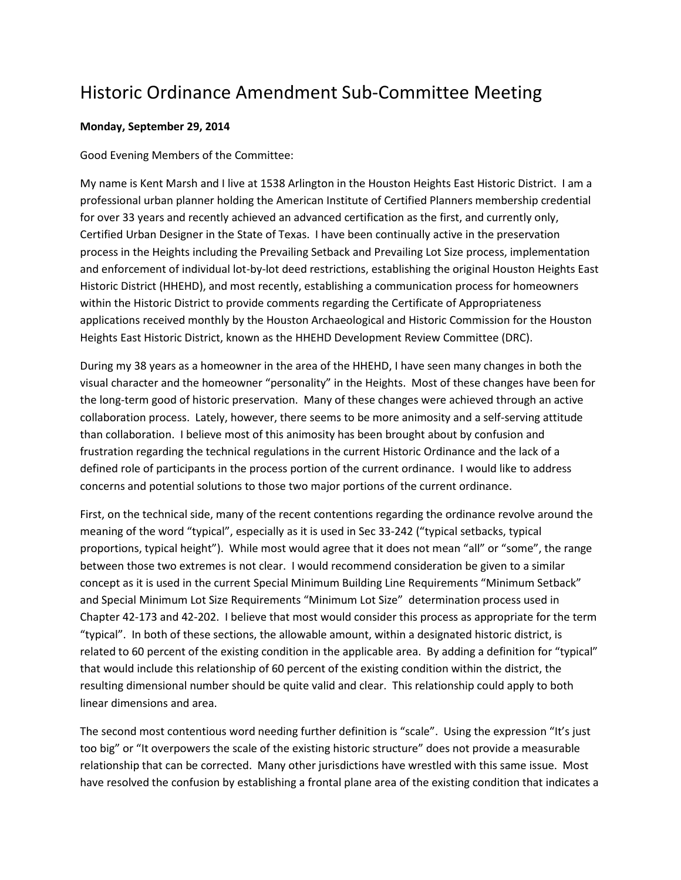## Historic Ordinance Amendment Sub-Committee Meeting

## **Monday, September 29, 2014**

Good Evening Members of the Committee:

My name is Kent Marsh and I live at 1538 Arlington in the Houston Heights East Historic District. I am a professional urban planner holding the American Institute of Certified Planners membership credential for over 33 years and recently achieved an advanced certification as the first, and currently only, Certified Urban Designer in the State of Texas. I have been continually active in the preservation process in the Heights including the Prevailing Setback and Prevailing Lot Size process, implementation and enforcement of individual lot-by-lot deed restrictions, establishing the original Houston Heights East Historic District (HHEHD), and most recently, establishing a communication process for homeowners within the Historic District to provide comments regarding the Certificate of Appropriateness applications received monthly by the Houston Archaeological and Historic Commission for the Houston Heights East Historic District, known as the HHEHD Development Review Committee (DRC).

During my 38 years as a homeowner in the area of the HHEHD, I have seen many changes in both the visual character and the homeowner "personality" in the Heights. Most of these changes have been for the long-term good of historic preservation. Many of these changes were achieved through an active collaboration process. Lately, however, there seems to be more animosity and a self-serving attitude than collaboration. I believe most of this animosity has been brought about by confusion and frustration regarding the technical regulations in the current Historic Ordinance and the lack of a defined role of participants in the process portion of the current ordinance. I would like to address concerns and potential solutions to those two major portions of the current ordinance.

First, on the technical side, many of the recent contentions regarding the ordinance revolve around the meaning of the word "typical", especially as it is used in Sec 33-242 ("typical setbacks, typical proportions, typical height"). While most would agree that it does not mean "all" or "some", the range between those two extremes is not clear. I would recommend consideration be given to a similar concept as it is used in the current Special Minimum Building Line Requirements "Minimum Setback" and Special Minimum Lot Size Requirements "Minimum Lot Size" determination process used in Chapter 42-173 and 42-202. I believe that most would consider this process as appropriate for the term "typical". In both of these sections, the allowable amount, within a designated historic district, is related to 60 percent of the existing condition in the applicable area. By adding a definition for "typical" that would include this relationship of 60 percent of the existing condition within the district, the resulting dimensional number should be quite valid and clear. This relationship could apply to both linear dimensions and area.

The second most contentious word needing further definition is "scale". Using the expression "It's just too big" or "It overpowers the scale of the existing historic structure" does not provide a measurable relationship that can be corrected. Many other jurisdictions have wrestled with this same issue. Most have resolved the confusion by establishing a frontal plane area of the existing condition that indicates a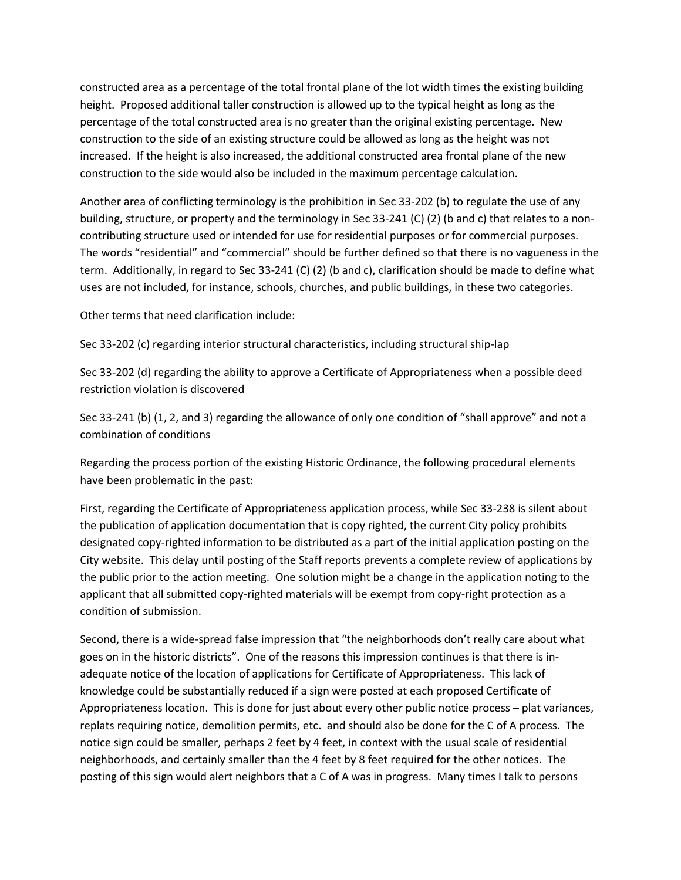constructed area as a percentage of the total frontal plane of the lot width times the existing building height. Proposed additional taller construction is allowed up to the typical height as long as the percentage of the total constructed area is no greater than the original existing percentage. New construction to the side of an existing structure could be allowed as long as the height was not increased. If the height is also increased, the additional constructed area frontal plane of the new construction to the side would also be included in the maximum percentage calculation.

Another area of conflicting terminology is the prohibition in Sec 33-202 (b) to regulate the use of any building, structure, or property and the terminology in Sec 33-241 (C) (2) (b and c) that relates to a noncontributing structure used or intended for use for residential purposes or for commercial purposes. The words "residential" and "commercial" should be further defined so that there is no vagueness in the term. Additionally, in regard to Sec 33-241 (C) (2) (b and c), clarification should be made to define what uses are not included, for instance, schools, churches, and public buildings, in these two categories.

Other terms that need clarification include:

Sec 33-202 (c) regarding interior structural characteristics, including structural ship-lap

Sec 33-202 (d) regarding the ability to approve a Certificate of Appropriateness when a possible deed restriction violation is discovered

Sec 33-241 (b) (1, 2, and 3) regarding the allowance of only one condition of "shall approve" and not a combination of conditions

Regarding the process portion of the existing Historic Ordinance, the following procedural elements have been problematic in the past:

First, regarding the Certificate of Appropriateness application process, while Sec 33-238 is silent about the publication of application documentation that is copy righted, the current City policy prohibits designated copy-righted information to be distributed as a part of the initial application posting on the City website. This delay until posting of the Staff reports prevents a complete review of applications by the public prior to the action meeting. One solution might be a change in the application noting to the applicant that all submitted copy-righted materials will be exempt from copy-right protection as a condition of submission.

Second, there is a wide-spread false impression that "the neighborhoods don't really care about what goes on in the historic districts". One of the reasons this impression continues is that there is inadequate notice of the location of applications for Certificate of Appropriateness. This lack of knowledge could be substantially reduced if a sign were posted at each proposed Certificate of Appropriateness location. This is done for just about every other public notice process – plat variances, replats requiring notice, demolition permits, etc. and should also be done for the C of A process. The notice sign could be smaller, perhaps 2 feet by 4 feet, in context with the usual scale of residential neighborhoods, and certainly smaller than the 4 feet by 8 feet required for the other notices. The posting of this sign would alert neighbors that a C of A was in progress. Many times I talk to persons